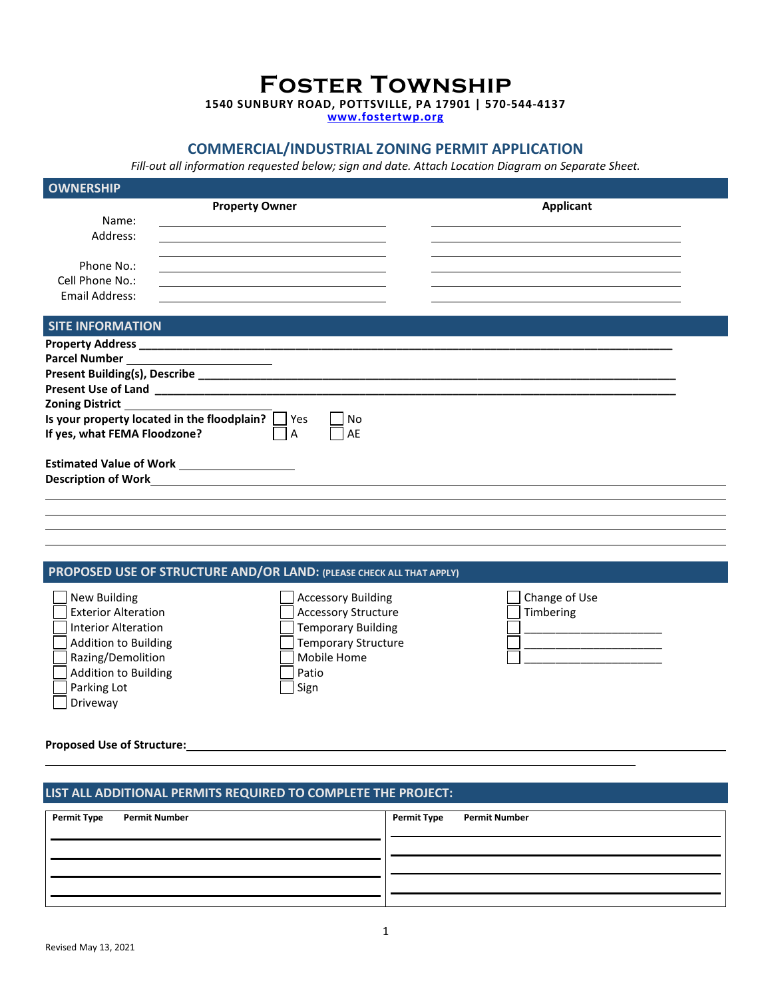**Foster Township**

**1540 SUNBURY ROAD, POTTSVILLE, PA 17901 | 570-544-4137**

**[www.fostertwp.org](http://www.fostertwp.org/)**

## **COMMERCIAL/INDUSTRIAL ZONING PERMIT APPLICATION**

*Fill-out all information requested below; sign and date. Attach Location Diagram on Separate Sheet.*

| <b>OWNERSHIP</b>                  |                                                                                                                                                       |          |                                                                                                                                   |
|-----------------------------------|-------------------------------------------------------------------------------------------------------------------------------------------------------|----------|-----------------------------------------------------------------------------------------------------------------------------------|
| Name:<br>Address:<br>Phone No.:   | <b>Property Owner</b>                                                                                                                                 |          | Applicant<br><u> 1980 - Johann Barbara, martxa alemaniar argametar a martxa a shekara a shekara a shekara a shekara a shekara</u> |
| Cell Phone No.:<br>Email Address: | <u> 1989 - Andrea Station Barbara, amerikan personal (h. 1989)</u>                                                                                    |          |                                                                                                                                   |
| <b>SITE INFORMATION</b>           |                                                                                                                                                       |          |                                                                                                                                   |
| If yes, what FEMA Floodzone?      | Zoning District National Assembly Property and Assembly Property and Assembly<br>Is your property located in the floodplain? $\vert \ \vert$ Yes<br>A | No<br>AE |                                                                                                                                   |
|                                   | Estimated Value of Work _____________________                                                                                                         |          |                                                                                                                                   |
|                                   |                                                                                                                                                       |          |                                                                                                                                   |

# **PROPOSED USE OF STRUCTURE AND/OR LAND: (PLEASE CHECK ALL THAT APPLY)**

| New Building                | Accessory Building         | Change of Use |
|-----------------------------|----------------------------|---------------|
| <b>Exterior Alteration</b>  | <b>Accessory Structure</b> | Timbering     |
| <b>Interior Alteration</b>  | <b>Temporary Building</b>  |               |
| <b>Addition to Building</b> | <b>Temporary Structure</b> |               |
| Razing/Demolition           | Mobile Home                |               |
| <b>Addition to Building</b> | Patio                      |               |
| Parking Lot                 | Sign                       |               |
| Driveway                    |                            |               |

#### **Proposed Use of Structure:**

### **LIST ALL ADDITIONAL PERMITS REQUIRED TO COMPLETE THE PROJECT:**

| Permit Type<br><b>Permit Number</b> | Permit Type<br><b>Permit Number</b> |
|-------------------------------------|-------------------------------------|
|                                     |                                     |
|                                     |                                     |
|                                     |                                     |
|                                     |                                     |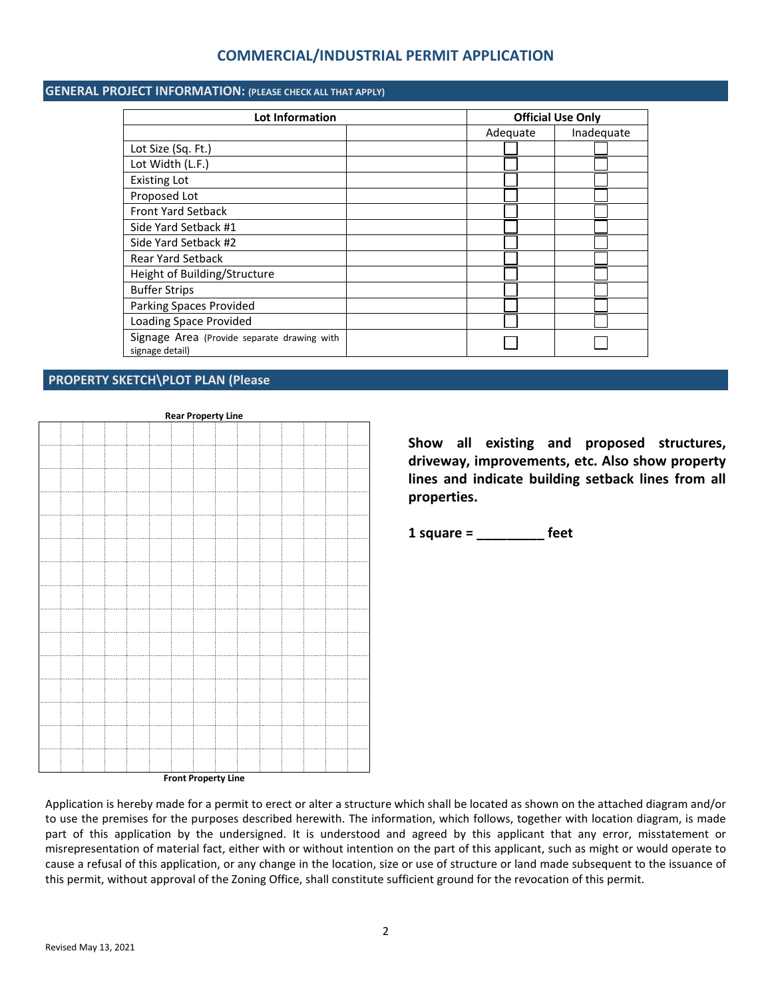# **COMMERCIAL/INDUSTRIAL PERMIT APPLICATION**

### **GENERAL PROJECT INFORMATION: (PLEASE CHECK ALL THAT APPLY)**

| <b>Lot Information</b>                                         | <b>Official Use Only</b> |            |  |
|----------------------------------------------------------------|--------------------------|------------|--|
|                                                                | Adequate                 | Inadequate |  |
| Lot Size (Sq. Ft.)                                             |                          |            |  |
| Lot Width (L.F.)                                               |                          |            |  |
| <b>Existing Lot</b>                                            |                          |            |  |
| Proposed Lot                                                   |                          |            |  |
| <b>Front Yard Setback</b>                                      |                          |            |  |
| Side Yard Setback #1                                           |                          |            |  |
| Side Yard Setback #2                                           |                          |            |  |
| <b>Rear Yard Setback</b>                                       |                          |            |  |
| Height of Building/Structure                                   |                          |            |  |
| <b>Buffer Strips</b>                                           |                          |            |  |
| Parking Spaces Provided                                        |                          |            |  |
| <b>Loading Space Provided</b>                                  |                          |            |  |
| Signage Area (Provide separate drawing with<br>signage detail) |                          |            |  |

#### **PROPERTY SKETCH\PLOT PLAN (Please**



**Show all existing and proposed structures, driveway, improvements, etc. Also show property lines and indicate building setback lines from all properties.**

**1 square = \_\_\_\_\_\_\_\_\_ feet**

**Front Property Line**

Application is hereby made for a permit to erect or alter a structure which shall be located as shown on the attached diagram and/or to use the premises for the purposes described herewith. The information, which follows, together with location diagram, is made part of this application by the undersigned. It is understood and agreed by this applicant that any error, misstatement or misrepresentation of material fact, either with or without intention on the part of this applicant, such as might or would operate to cause a refusal of this application, or any change in the location, size or use of structure or land made subsequent to the issuance of this permit, without approval of the Zoning Office, shall constitute sufficient ground for the revocation of this permit.